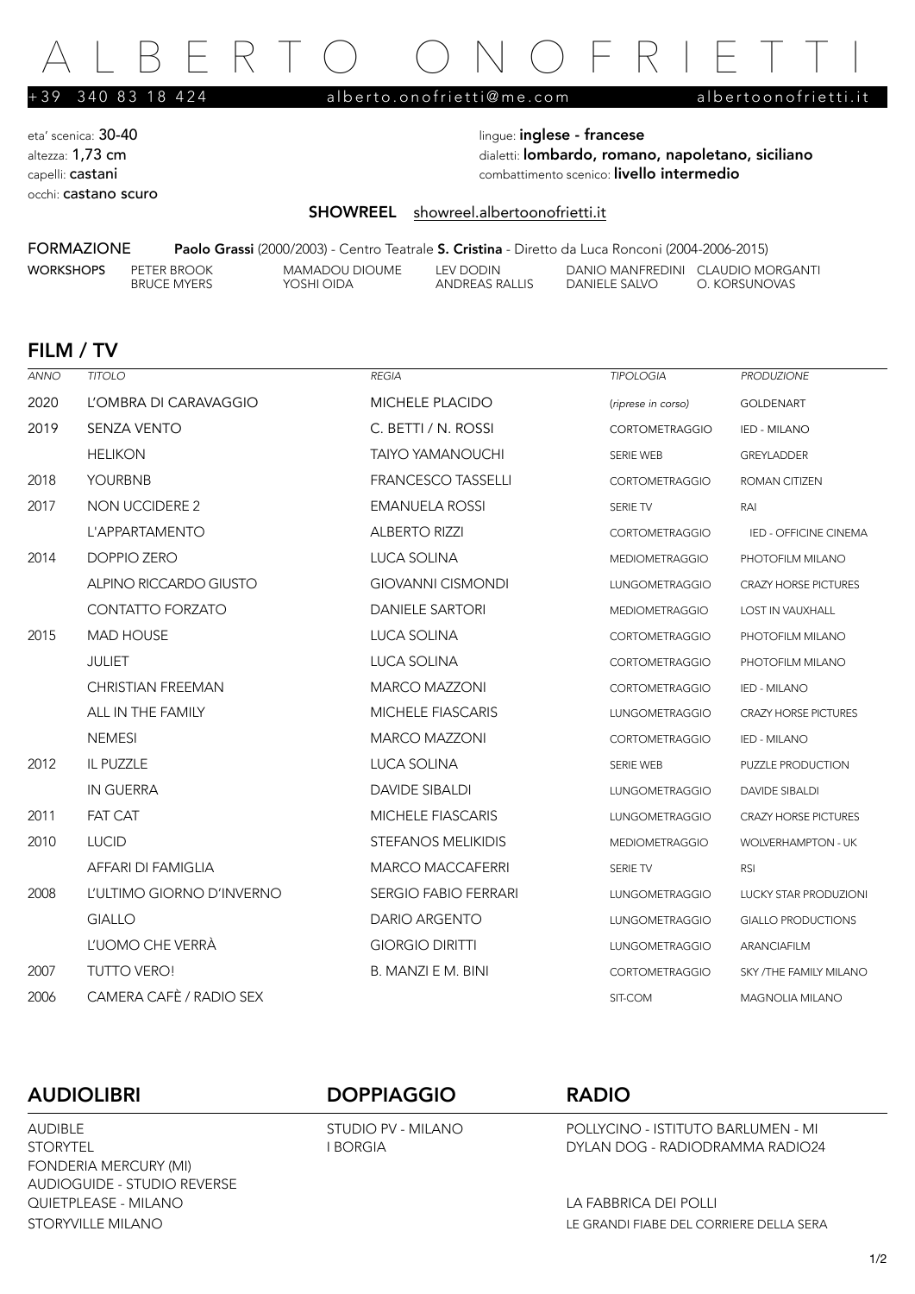# FRTO ONOFRIE

+39 340 83 18 424 [alberto.onofrietti@me.com](mailto:alberto.onofrietti@me.com) [albertoonofrietti.it](http://albertoonofrietti.it)

eta' scenica: 30-40 **lingue: inglese - francese** occhi: castano scuro

altezza: 1,73 cm dialetti: lombardo, romano, napoletano, siciliano capelli: castani combattimento scenico: livello intermedio

### SHOWREEL [showreel.albertoonofrietti.it](https://vimeo.com/321813727)

FORMAZIONE Paolo Grassi (2000/2003) - Centro Teatrale S. Cristina - Diretto da Luca Ronconi (2004-2006-2015)

ANDREAS RALLIS

WORKSHOPS PETER BROOK MAMADOU DIOUME LEV DODIN DANIO MANFREDINI CLAUDIO MORGANTI<br>BRUCE MYERS YOSHI OIDA ANDREAS RALLIS DANIELE SALVO O. KORSUNOVAS

### FILM / TV

| ANNO | <b>TITOLO</b>             | REGIA                       | TIPOLOGIA             | <b>PRODUZIONE</b>            |
|------|---------------------------|-----------------------------|-----------------------|------------------------------|
| 2020 | L'OMBRA DI CARAVAGGIO     | <b>MICHELE PLACIDO</b>      | (riprese in corso)    | <b>GOLDENART</b>             |
| 2019 | <b>SENZA VENTO</b>        | C. BETTI / N. ROSSI         | <b>CORTOMETRAGGIO</b> | IED - MILANO                 |
|      | <b>HELIKON</b>            | <b>TAIYO YAMANOUCHI</b>     | <b>SERIE WEB</b>      | <b>GREYLADDER</b>            |
| 2018 | <b>YOURBNB</b>            | <b>FRANCESCO TASSELLI</b>   | <b>CORTOMETRAGGIO</b> | ROMAN CITIZEN                |
| 2017 | <b>NON UCCIDERE 2</b>     | <b>EMANUELA ROSSI</b>       | SERIE TV              | RAI                          |
|      | L'APPARTAMENTO            | <b>ALBERTO RIZZI</b>        | <b>CORTOMETRAGGIO</b> | IED - OFFICINE CINEMA        |
| 2014 | DOPPIO ZERO               | LUCA SOLINA                 | <b>MEDIOMETRAGGIO</b> | PHOTOFILM MILANO             |
|      | ALPINO RICCARDO GIUSTO    | <b>GIOVANNI CISMONDI</b>    | LUNGOMETRAGGIO        | <b>CRAZY HORSE PICTURES</b>  |
|      | <b>CONTATTO FORZATO</b>   | <b>DANIELE SARTORI</b>      | <b>MEDIOMETRAGGIO</b> | <b>LOST IN VAUXHALL</b>      |
| 2015 | <b>MAD HOUSE</b>          | <b>LUCA SOLINA</b>          | <b>CORTOMETRAGGIO</b> | PHOTOFILM MILANO             |
|      | <b>JULIET</b>             | LUCA SOLINA                 | <b>CORTOMETRAGGIO</b> | PHOTOFILM MILANO             |
|      | <b>CHRISTIAN FREEMAN</b>  | <b>MARCO MAZZONI</b>        | <b>CORTOMETRAGGIO</b> | IED - MILANO                 |
|      | ALL IN THE FAMILY         | <b>MICHELE FIASCARIS</b>    | LUNGOMETRAGGIO        | <b>CRAZY HORSE PICTURES</b>  |
|      | <b>NEMESI</b>             | <b>MARCO MAZZONI</b>        | <b>CORTOMETRAGGIO</b> | IED - MILANO                 |
| 2012 | IL PUZZLE                 | <b>LUCA SOLINA</b>          | SERIE WEB             | PUZZLE PRODUCTION            |
|      | <b>IN GUERRA</b>          | <b>DAVIDE SIBALDI</b>       | <b>LUNGOMETRAGGIO</b> | <b>DAVIDE SIBALDI</b>        |
| 2011 | <b>FAT CAT</b>            | <b>MICHELE FIASCARIS</b>    | <b>LUNGOMETRAGGIO</b> | <b>CRAZY HORSE PICTURES</b>  |
| 2010 | <b>LUCID</b>              | <b>STEFANOS MELIKIDIS</b>   | <b>MEDIOMETRAGGIO</b> | WOLVERHAMPTON - UK           |
|      | AFFARI DI FAMIGLIA        | <b>MARCO MACCAFERRI</b>     | SERIE TV              | <b>RSI</b>                   |
| 2008 | L'ULTIMO GIORNO D'INVERNO | <b>SERGIO FABIO FERRARI</b> | LUNGOMETRAGGIO        | <b>LUCKY STAR PRODUZIONI</b> |
|      | <b>GIALLO</b>             | DARIO ARGENTO               | LUNGOMETRAGGIO        | <b>GIALLO PRODUCTIONS</b>    |
|      | L'UOMO CHE VERRÀ          | <b>GIORGIO DIRITTI</b>      | LUNGOMETRAGGIO        | <b>ARANCIAFILM</b>           |
| 2007 | <b>TUTTO VERO!</b>        | B. MANZI E M. BINI          | <b>CORTOMETRAGGIO</b> | SKY /THE FAMILY MILANO       |
| 2006 | CAMERA CAFÈ / RADIO SEX   |                             | SIT-COM               | <b>MAGNOLIA MILANO</b>       |

FONDERIA MERCURY (MI) AUDIOGUIDE - STUDIO REVERSE QUIETPLEASE - MILANO LA FABBRICA DEI POLLI

### AUDIOLIBRI DOPPIAGGIO RADIO

AUDIBLE STUDIO PV - MILANO POLLYCINO - ISTITUTO BARLUMEN - MI STORYTEL I BORGIA DYLAN DOG - RADIODRAMMA RADIO24

STORYVILLE MILANO LE GRANDI FIABE DEL CORRIERE DELLA SERA